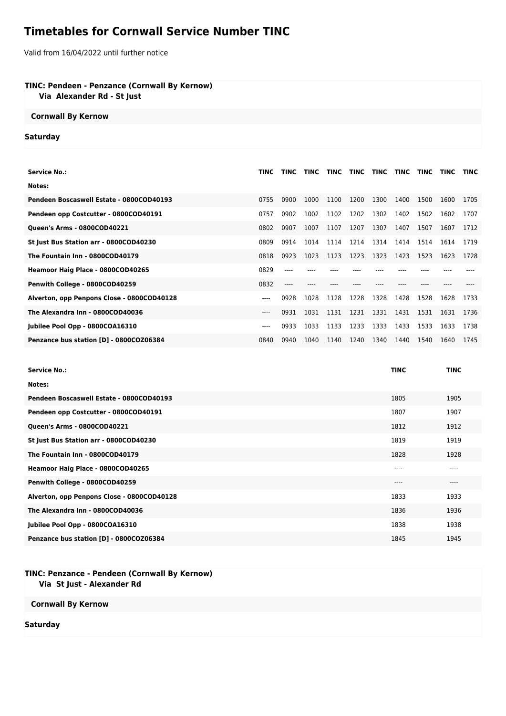# **Timetables for Cornwall Service Number TINC**

Valid from 16/04/2022 until further notice

## **TINC: Pendeen - Penzance (Cornwall By Kernow)**

 **Via Alexander Rd - St Just**

#### **Cornwall By Kernow**

### **Saturday**

| Service No.:                               | TINC  | <b>TINC</b> | <b>TINC</b> | TINC | <b>TINC</b> | TINC | <b>TINC</b> | <b>TINC</b> | <b>TINC</b> | TINC |
|--------------------------------------------|-------|-------------|-------------|------|-------------|------|-------------|-------------|-------------|------|
| Notes:                                     |       |             |             |      |             |      |             |             |             |      |
| Pendeen Boscaswell Estate - 0800COD40193   | 0755  | 0900        | 1000        | 1100 | 1200        | 1300 | 1400        | 1500        | 1600        | 1705 |
| Pendeen opp Costcutter - 0800COD40191      | 0757  | 0902        | 1002        | 1102 | 1202        | 1302 | 1402        | 1502        | 1602        | 1707 |
| <b>Queen's Arms - 0800COD40221</b>         | 0802  | 0907        | 1007        | 1107 | 1207        | 1307 | 1407        | 1507        | 1607        | 1712 |
| St Just Bus Station arr - 0800COD40230     | 0809  | 0914        | 1014        | 1114 | 1214        | 1314 | 1414        | 1514        | 1614        | 1719 |
| The Fountain Inn - 0800COD40179            | 0818  | 0923        | 1023        | 1123 | 1223        | 1323 | 1423        | 1523        | 1623        | 1728 |
| Heamoor Haig Place - 0800COD40265          | 0829  |             |             |      |             |      |             |             |             |      |
| Penwith College - 0800COD40259             | 0832  |             |             |      |             |      |             |             |             |      |
| Alverton, opp Penpons Close - 0800COD40128 | $---$ | 0928        | 1028        | 1128 | 1228        | 1328 | 1428        | 1528        | 1628        | 1733 |
| The Alexandra Inn - 0800COD40036           | $---$ | 0931        | 1031        | 1131 | 1231        | 1331 | 1431        | 1531        | 1631        | 1736 |
| Jubilee Pool Opp - 0800COA16310            | ----  | 0933        | 1033        | 1133 | 1233        | 1333 | 1433        | 1533        | 1633        | 1738 |
| Penzance bus station [D] - 0800COZ06384    | 0840  | 0940        | 1040        | 1140 | 1240        | 1340 | 1440        | 1540        | 1640        | 1745 |

| <b>Service No.:</b>                        | <b>TINC</b> | <b>TINC</b> |
|--------------------------------------------|-------------|-------------|
| Notes:                                     |             |             |
| Pendeen Boscaswell Estate - 0800COD40193   | 1805        | 1905        |
| Pendeen opp Costcutter - 0800COD40191      | 1807        | 1907        |
| <b>Queen's Arms - 0800COD40221</b>         | 1812        | 1912        |
| St Just Bus Station arr - 0800COD40230     | 1819        | 1919        |
| The Fountain Inn - 0800COD40179            | 1828        | 1928        |
| Heamoor Haig Place - 0800COD40265          | ----        | ----        |
| Penwith College - 0800COD40259             | $---$       | $---$       |
| Alverton, opp Penpons Close - 0800COD40128 | 1833        | 1933        |
| The Alexandra Inn - 0800COD40036           | 1836        | 1936        |
| Jubilee Pool Opp - 0800COA16310            | 1838        | 1938        |
| Penzance bus station [D] - 0800COZ06384    | 1845        | 1945        |

#### **TINC: Penzance - Pendeen (Cornwall By Kernow) Via St Just - Alexander Rd**

**Cornwall By Kernow**

**Saturday**